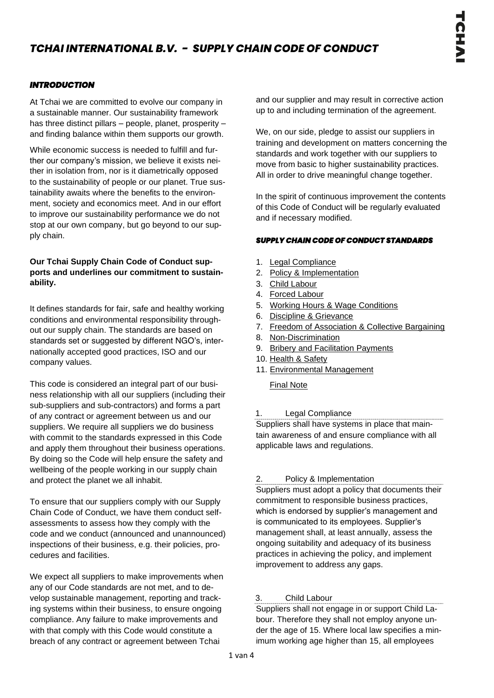# *TCHAI INTERNATIONAL B.V. - SUPPLY CHAIN CODE OF CONDUCT*

## *INTRODUCTION*

At Tchai we are committed to evolve our company in a sustainable manner. Our sustainability framework has three distinct pillars – people, planet, prosperity – and finding balance within them supports our growth.

While economic success is needed to fulfill and further our company's mission, we believe it exists neither in isolation from, nor is it diametrically opposed to the sustainability of people or our planet. True sustainability awaits where the benefits to the environment, society and economics meet. And in our effort to improve our sustainability performance we do not stop at our own company, but go beyond to our supply chain.

Our Tchai Supply Chain Code of Conduct supports and underlines our commitment to sustainability.

It defines standards for fair, safe and healthy working conditions and environmental responsibility throughout our supply chain. The standards are based on standards set or suggested by different NGO's, internationally accepted good practices, ISO and our company values.

This code is considered an integral part of our business relationship with all our suppliers (including their sub-suppliers and sub-contractors) and forms a part of any contract or agreement between us and our suppliers. We require all suppliers we do business with commit to the standards expressed in this Code and apply them throughout their business operations. By doing so the Code will help ensure the safety and wellbeing of the people working in our supply chain and protect the planet we all inhabit.

To ensure that our suppliers comply with our Supply Chain Code of Conduct, we have them conduct selfassessments to assess how they comply with the code and we conduct (announced and unannounced) inspections of their business, e.g. their policies, procedures and facilities.

We expect all suppliers to make improvements when any of our Code standards are not met, and to develop sustainable management, reporting and tracking systems within their business, to ensure ongoing compliance. Any failure to make improvements and with that comply with this Code would constitute a breach of any contract or agreement between Tchai

and our supplier and may result in corrective action up to and including termination of the agreement.

We, on our side, pledge to assist our suppliers in training and development on matters concerning the standards and work together with our suppliers to move from basic to higher sustainability practices. All in order to drive meaningful change together.

In the spirit of continuous improvement the contents of this Code of Conduct will be regularly evaluated and if necessary modified.

## *SUPPLY CHAIN CODE OF CONDUCT STANDARDS*

- 1. Legal Compliance
- 2. Policy & Implementation
- 3. Child Labour
- 4. Forced Labour
- 5. Working Hours & Wage Conditions
- 6. Discipline & Grievance
- 7. Freedom of Association & Collective Bargaining
- 8. Non-Discrimination
- 9. Bribery and Facilitation Payments
- 10. Health & Safety
- 11. Environmental Management

Final Note

## 1. Legal Compliance

Suppliers shall have systems in place that maintain awareness of and ensure compliance with all applicable laws and regulations.

## 2. Policy & Implementation

Suppliers must adopt a policy that documents their commitment to responsible business practices, which is endorsed by supplier's management and is communicated to its employees. Supplier's management shall, at least annually, assess the ongoing suitability and adequacy of its business practices in achieving the policy, and implement improvement to address any gaps.

## 3. Child Labour

Suppliers shall not engage in or support Child Labour. Therefore they shall not employ anyone under the age of 15. Where local law specifies a minimum working age higher than 15, all employees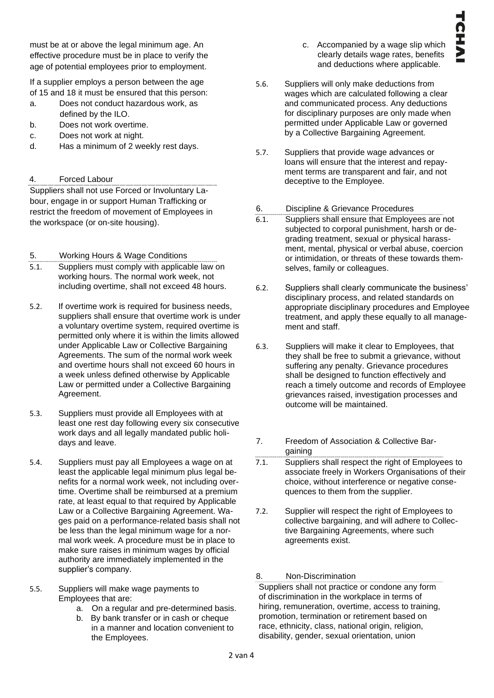must be at or above the legal minimum age. An effective procedure must be in place to verify the age of potential employees prior to employment.

If a supplier employs a person between the age of 15 and 18 it must be ensured that this person:

- a. Does not conduct hazardous work, as defined by the ILO.
- b. Does not work overtime.
- c. Does not work at night.
- d. Has a minimum of 2 weekly rest days.

# 4. Forced Labour

Suppliers shall not use Forced or Involuntary Labour, engage in or support Human Trafficking or restrict the freedom of movement of Employees in the workspace (or on-site housing).

5. Working Hours & Wage Conditions

- 5.1. Suppliers must comply with applicable law on working hours. The normal work week, not including overtime, shall not exceed 48 hours.
- 5.2. If overtime work is required for business needs, suppliers shall ensure that overtime work is under a voluntary overtime system, required overtime is permitted only where it is within the limits allowed under Applicable Law or Collective Bargaining Agreements. The sum of the normal work week and overtime hours shall not exceed 60 hours in a week unless defined otherwise by Applicable Law or permitted under a Collective Bargaining Agreement.
- 5.3. Suppliers must provide all Employees with at least one rest day following every six consecutive work days and all legally mandated public holidays and leave.
- 5.4. Suppliers must pay all Employees a wage on at least the applicable legal minimum plus legal benefits for a normal work week, not including overtime. Overtime shall be reimbursed at a premium rate, at least equal to that required by Applicable Law or a Collective Bargaining Agreement. Wages paid on a performance-related basis shall not be less than the legal minimum wage for a normal work week. A procedure must be in place to make sure raises in minimum wages by official authority are immediately implemented in the supplier's company.
- 5.5. Suppliers will make wage payments to Employees that are:
	- a. On a regular and pre-determined basis.
	- b. By bank transfer or in cash or cheque in a manner and location convenient to the Employees.
- c. Accompanied by a wage slip which clearly details wage rates, benefits and deductions where applicable.
- 5.6. Suppliers will only make deductions from wages which are calculated following a clear and communicated process. Any deductions for disciplinary purposes are only made when permitted under Applicable Law or governed by a Collective Bargaining Agreement.
- 5.7. Suppliers that provide wage advances or loans will ensure that the interest and repayment terms are transparent and fair, and not deceptive to the Employee.
- 6. Discipline & Grievance Procedures
- 6.1. Suppliers shall ensure that Employees are not subjected to corporal punishment, harsh or degrading treatment, sexual or physical harassment, mental, physical or verbal abuse, coercion or intimidation, or threats of these towards themselves, family or colleagues.
- 6.2. Suppliers shall clearly communicate the business' disciplinary process, and related standards on appropriate disciplinary procedures and Employee treatment, and apply these equally to all management and staff.
- 6.3. Suppliers will make it clear to Employees, that they shall be free to submit a grievance, without suffering any penalty. Grievance procedures shall be designed to function effectively and reach a timely outcome and records of Employee grievances raised, investigation processes and outcome will be maintained.
- 7. Freedom of Association & Collective Bargaining
- 7.1. Suppliers shall respect the right of Employees to associate freely in Workers Organisations of their choice, without interference or negative consequences to them from the supplier.
- 7.2. Supplier will respect the right of Employees to collective bargaining, and will adhere to Collective Bargaining Agreements, where such agreements exist.

# 8. Non-Discrimination

Suppliers shall not practice or condone any form of discrimination in the workplace in terms of hiring, remuneration, overtime, access to training, promotion, termination or retirement based on race, ethnicity, class, national origin, religion, disability, gender, sexual orientation, union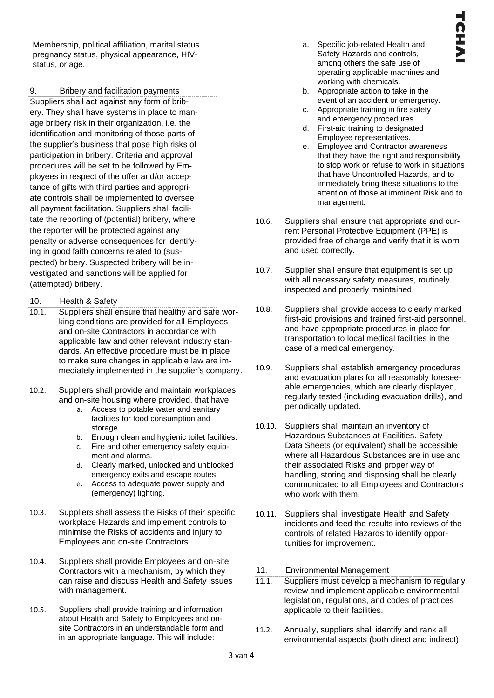Membership, political affiliation, marital status pregnancy status, physical appearance, HIVstatus, or age.

9. Bribery and facilitation payments Suppliers shall act against any form of bribery. They shall have systems in place to manage bribery risk in their organization, i.e. the identification and monitoring of those parts of the supplier's business that pose high risks of participation in bribery. Criteria and approval procedures will be set to be followed by Employees in respect of the offer and/or acceptance of gifts with third parties and appropriate controls shall be implemented to oversee all payment facilitation. Suppliers shall facilitate the reporting of (potential) bribery, where the reporter will be protected against any penalty or adverse consequences for identifying in good faith concerns related to (suspected) bribery. Suspected bribery will be investigated and sanctions will be applied for (attempted) bribery.

- 10. Health & Safety
- 10.1. Suppliers shall ensure that healthy and safe working conditions are provided for all Employees and on-site Contractors in accordance with applicable law and other relevant industry standards. An effective procedure must be in place to make sure changes in applicable law are immediately implemented in the supplier's company.
- 10.2. Suppliers shall provide and maintain workplaces and on-site housing where provided, that have:
	- a. Access to potable water and sanitary facilities for food consumption and storage.
	- b. Enough clean and hygienic toilet facilities.
	- c. Fire and other emergency safety equipment and alarms.
	- d. Clearly marked, unlocked and unblocked emergency exits and escape routes.
	- e. Access to adequate power supply and (emergency) lighting.
- 10.3. Suppliers shall assess the Risks of their specific workplace Hazards and implement controls to minimise the Risks of accidents and injury to Employees and on-site Contractors.
- 10.4. Suppliers shall provide Employees and on-site Contractors with a mechanism, by which they can raise and discuss Health and Safety issues with management.
- 10.5. Suppliers shall provide training and information about Health and Safety to Employees and onsite Contractors in an understandable form and in an appropriate language. This will include:
- a. Specific job-related Health and Safety Hazards and controls, among others the safe use of operating applicable machines and working with chemicals.
- b. Appropriate action to take in the event of an accident or emergency.
- c. Appropriate training in fire safety and emergency procedures.
- d. First-aid training to designated Employee representatives.
- e. Employee and Contractor awareness that they have the right and responsibility to stop work or refuse to work in situations that have Uncontrolled Hazards, and to immediately bring these situations to the attention of those at imminent Risk and to management.
- 10.6. Suppliers shall ensure that appropriate and current Personal Protective Equipment (PPE) is provided free of charge and verify that it is worn and used correctly.
- 10.7. Supplier shall ensure that equipment is set up with all necessary safety measures, routinely inspected and properly maintained.
- 10.8. Suppliers shall provide access to clearly marked first-aid provisions and trained first-aid personnel, and have appropriate procedures in place for transportation to local medical facilities in the case of a medical emergency.
- 10.9. Suppliers shall establish emergency procedures and evacuation plans for all reasonably foreseeable emergencies, which are clearly displayed, regularly tested (including evacuation drills), and periodically updated.
- 10.10. Suppliers shall maintain an inventory of Hazardous Substances at Facilities. Safety Data Sheets (or equivalent) shall be accessible where all Hazardous Substances are in use and their associated Risks and proper way of handling, storing and disposing shall be clearly communicated to all Employees and Contractors who work with them.
- 10.11. Suppliers shall investigate Health and Safety incidents and feed the results into reviews of the controls of related Hazards to identify opportunities for improvement.
- 11. Environmental Management
- 11.1. Suppliers must develop a mechanism to regularly review and implement applicable environmental legislation, regulations, and codes of practices applicable to their facilities.
- 11.2. Annually, suppliers shall identify and rank all environmental aspects (both direct and indirect)